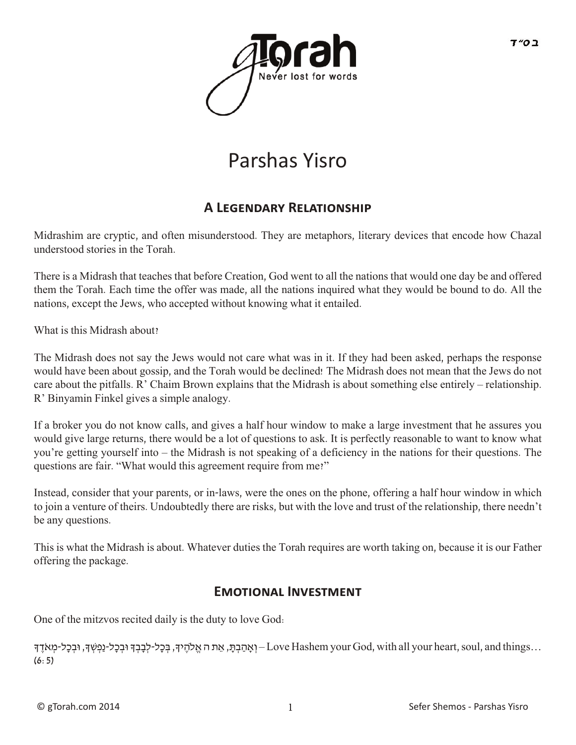

# Parshas Yisro

## **A Legen�ar� Relationship**

Midrashim are cryptic, and often misunderstood. They are metaphors, literary devices that encode how Chazal understood stories in the Torah.

There is a Midrash that teaches that before Creation, God went to all the nations that would one day be and offered them the Torah. Each time the offer was made, all the nations inquired what they would be bound to do. All the nations, except the Jews, who accepted without knowing what it entailed.

What is this Midrash about?

The Midrash does not say the Jews would not care what was in it. If they had been asked, perhaps the response would have been about gossip, and the Torah would be declined! The Midrash does not mean that the Jews do not care about the pitfalls. R' Chaim Brown explains that the Midrash is about something else entirely – relationship. R' Binyamin Finkel gives a simple analogy.

If a broker you do not know calls, and gives a half hour window to make a large investment that he assures you would give large returns, there would be a lot of questions to ask. It is perfectly reasonable to want to know what you're getting yourself into – the Midrash is not speaking of a deficiency in the nations for their questions. The questions are fair. "What would this agreement require from me?"

Instead, consider that your parents, or in-laws, were the ones on the phone, offering a half hour window in which to join a venture of theirs. Undoubtedly there are risks, but with the love and trust of the relationship, there needn't be any questions.

This is what the Midrash is about. Whatever duties the Torah requires are worth taking on, because it is our Father offering the package.

#### **EMOTIONAL INVESTMENT**

One of the mitzvos recited daily is the duty to love God:

...Love Hashem your God, with all your heart, soul, and things – וְאָהַבְתָּ, בִּכְל-לִבָּבְךָ וּבְכָל-נַפְשְׁךָ, וּבִכָל-מִאֹדֵךְ  $(6:5)$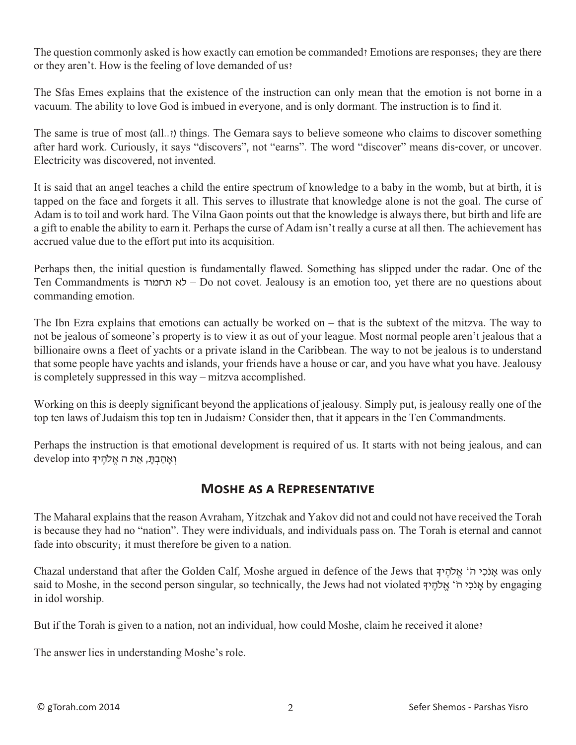The question commonly asked is how exactly can emotion be commanded? Emotions are responses; they are there or they aren't. How is the feeling of love demanded of us?

The Sfas Emes explains that the existence of the instruction can only mean that the emotion is not borne in a vacuum. The ability to love God is imbued in everyone, and is only dormant. The instruction is to find it.

The same is true of most (all..?) things. The Gemara says to believe someone who claims to discover something after hard work. Curiously, it says "discovers", not "earns". The word "discover" means dis-cover, or uncover. Electricity was discovered, not invented.

It is said that an angel teaches a child the entire spectrum of knowledge to a baby in the womb, but at birth, it is tapped on the face and forgets it all. This serves to illustrate that knowledge alone is not the goal. The curse of Adam is to toil and work hard. The Vilna Gaon points out that the knowledge is always there, but birth and life are a gift to enable the ability to earn it. Perhaps the curse of Adam isn't really a curse at all then. The achievement has accrued value due to the effort put into its acquisition.

Perhaps then, the initial question is fundamentally flawed. Something has slipped under the radar. One of the Ten Commandments is תחמוד לא – Do not covet. Jealousy is an emotion too, yet there are no questions about commanding emotion.

The Ibn Ezra explains that emotions can actually be worked on – that is the subtext of the mitzva. The way to not be jealous of someone's property is to view it as out of your league. Most normal people aren't jealous that a billionaire owns a fleet of yachts or a private island in the Caribbean. The way to not be jealous is to understand that some people have yachts and islands, your friends have a house or car, and you have what you have. Jealousy is completely suppressed in this way – mitzva accomplished.

Working on this is deeply significant beyond the applications of jealousy. Simply put, is jealousy really one of the top ten laws of Judaism this top ten in Judaism? Consider then, that it appears in the Ten Commandments.

Perhaps the instruction is that emotional development is required of us. It starts with not being jealous, and can וְ יִאֲהַבְתָּ, אֵת ה אֱלֹהֶיךָ develop into

#### **Moshe as a Representative**

The Maharal explains that the reason Avraham, Yitzchak and Yakov did not and could not have received the Torah is because they had no "nation". They were individuals, and individuals pass on. The Torah is eternal and cannot fade into obscurity; it must therefore be given to a nation.

Chazal understand that after the Golden Calf, Moshe argued in defence of the Jews that אוֹכ*ּי* ה' אלהיך א $\mu$  was only said to Moshe, in the second person singular, so technically, the Jews had not violated ךָי ֶלהֹ ֱא' ֹה י ִכֹאנָ by engaging in idol worship.

But if the Torah is given to a nation, not an individual, how could Moshe, claim he received it alone?

The answer lies in understanding Moshe's role.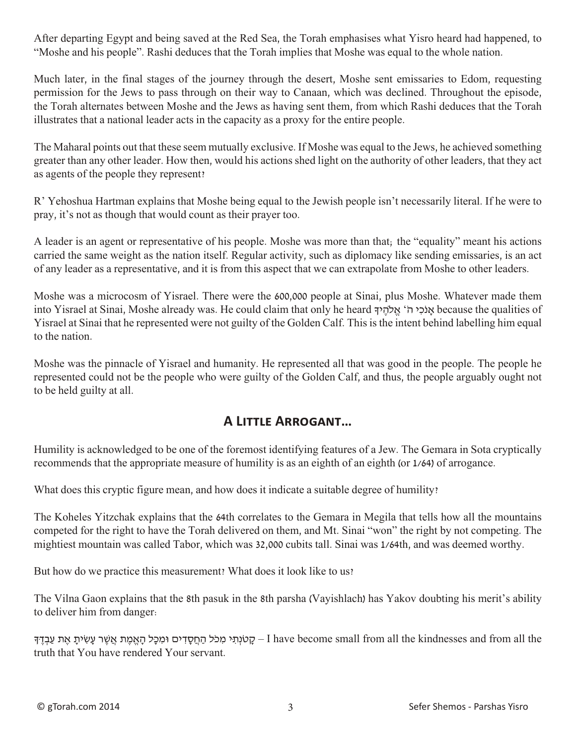After departing Egypt and being saved at the Red Sea, the Torah emphasises what Yisro heard had happened, to "Moshe and his people". Rashi deduces that the Torah implies that Moshe was equal to the whole nation.

Much later, in the final stages of the journey through the desert, Moshe sent emissaries to Edom, requesting permission for the Jews to pass through on their way to Canaan, which was declined. Throughout the episode, the Torah alternates between Moshe and the Jews as having sent them, from which Rashi deduces that the Torah illustrates that a national leader acts in the capacity as a proxy for the entire people.

The Maharal points out that these seem mutually exclusive. If Moshe was equal to the Jews, he achieved something greater than any other leader. How then, would his actions shed light on the authority of other leaders, that they act as agents of the people they represent?

R' Yehoshua Hartman explains that Moshe being equal to the Jewish people isn't necessarily literal. If he were to pray, it's not as though that would count as their prayer too.

A leader is an agent or representative of his people. Moshe was more than that; the "equality" meant his actions carried the same weight as the nation itself. Regular activity, such as diplomacy like sending emissaries, is an act of any leader as a representative, and it is from this aspect that we can extrapolate from Moshe to other leaders.

Moshe was a microcosm of Yisrael. There were the 600,000 people at Sinai, plus Moshe. Whatever made them into Yisrael at Sinai, Moshe already was. He could claim that only he heard ךָי ֶלהֹ ֱא' ֹה י ִכֹאנָ because the qualities of Yisrael at Sinai that he represented were not guilty of the Golden Calf. This is the intent behind labelling him equal to the nation.

Moshe was the pinnacle of Yisrael and humanity. He represented all that was good in the people. The people he represented could not be the people who were guilty of the Golden Calf, and thus, the people arguably ought not to be held guilty at all.

## **A Little Arrogant…**

Humility is acknowledged to be one of the foremost identifying features of a Jew. The Gemara in Sota cryptically recommends that the appropriate measure of humility is as an eighth of an eighth (or 1/64) of arrogance.

What does this cryptic figure mean, and how does it indicate a suitable degree of humility?

The Koheles Yitzchak explains that the 64th correlates to the Gemara in Megila that tells how all the mountains competed for the right to have the Torah delivered on them, and Mt. Sinai "won" the right by not competing. The mightiest mountain was called Tabor, which was 32,000 cubits tall. Sinai was 1/64th, and was deemed worthy.

But how do we practice this measurement? What does it look like to us?

The Vilna Gaon explains that the 8th pasuk in the 8th parsha (Vayishlach) has Yakov doubting his merit's ability to deliver him from danger:

עטׂנְתִי מְכֹּל הַחֲסָדִים וּמִכָּל הָאֱמֶת אֲשֶׁר עַשִׂיתָ אֶת עַבְדֵּ – I have become small from all the kindnesses and from all the truth that You have rendered Your servant.